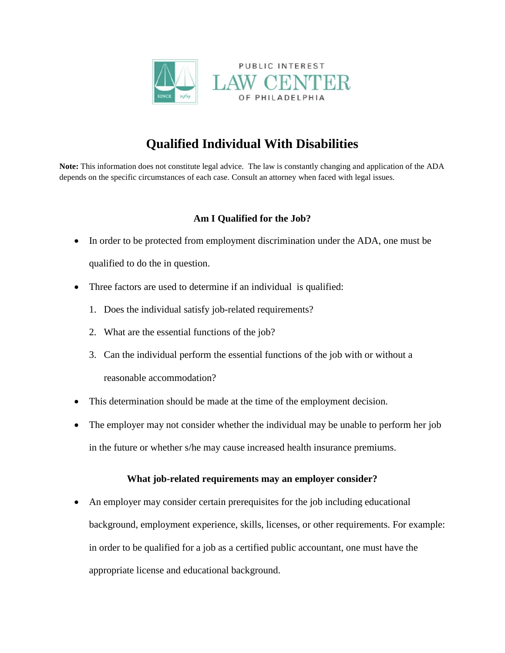

## **Qualified Individual With Disabilities**

**Note:** This information does not constitute legal advice. The law is constantly changing and application of the ADA depends on the specific circumstances of each case. Consult an attorney when faced with legal issues.

## **Am I Qualified for the Job?**

- In order to be protected from employment discrimination under the ADA, one must be qualified to do the in question.
- Three factors are used to determine if an individual is qualified:
	- 1. Does the individual satisfy job-related requirements?
	- 2. What are the essential functions of the job?
	- 3. Can the individual perform the essential functions of the job with or without a reasonable accommodation?
- This determination should be made at the time of the employment decision.
- The employer may not consider whether the individual may be unable to perform her job in the future or whether s/he may cause increased health insurance premiums.

## **What job-related requirements may an employer consider?**

• An employer may consider certain prerequisites for the job including educational background, employment experience, skills, licenses, or other requirements. For example: in order to be qualified for a job as a certified public accountant, one must have the appropriate license and educational background.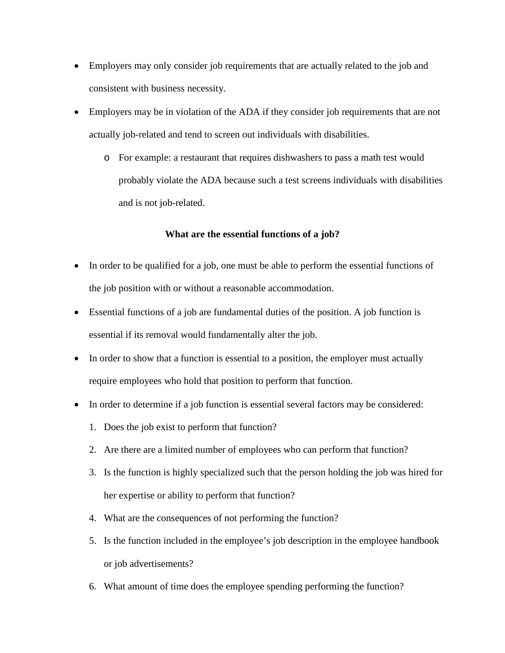- Employers may only consider job requirements that are actually related to the job and consistent with business necessity.
- Employers may be in violation of the ADA if they consider job requirements that are not actually job-related and tend to screen out individuals with disabilities.
	- o For example: a restaurant that requires dishwashers to pass a math test would probably violate the ADA because such a test screens individuals with disabilities and is not job-related.

## **What are the essential functions of a job?**

- In order to be qualified for a job, one must be able to perform the essential functions of the job position with or without a reasonable accommodation.
- Essential functions of a job are fundamental duties of the position. A job function is essential if its removal would fundamentally alter the job.
- In order to show that a function is essential to a position, the employer must actually require employees who hold that position to perform that function.
- In order to determine if a job function is essential several factors may be considered:
	- 1. Does the job exist to perform that function?
	- 2. Are there are a limited number of employees who can perform that function?
	- 3. Is the function is highly specialized such that the person holding the job was hired for her expertise or ability to perform that function?
	- 4. What are the consequences of not performing the function?
	- 5. Is the function included in the employee's job description in the employee handbook or job advertisements?
	- 6. What amount of time does the employee spending performing the function?